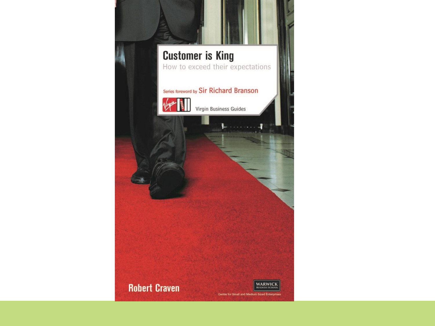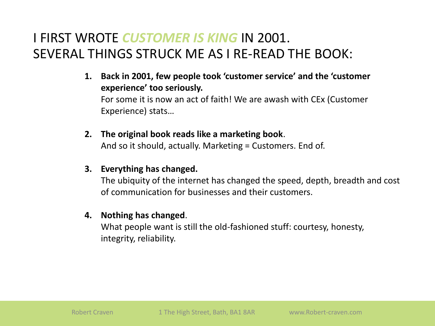# I FIRST WROTE *CUSTOMER IS KING* IN 2001. SEVERAL THINGS STRUCK ME AS I RE-READ THE BOOK:

- **1. Back in 2001, few people took 'customer service' and the 'customer experience' too seriously.** For some it is now an act of faith! We are awash with CEx (Customer Experience) stats…
- **2. The original book reads like a marketing book**. And so it should, actually. Marketing = Customers. End of.

#### **3. Everything has changed.**

The ubiquity of the internet has changed the speed, depth, breadth and cost of communication for businesses and their customers.

#### **4. Nothing has changed**.

What people want is still the old-fashioned stuff: courtesy, honesty, integrity, reliability.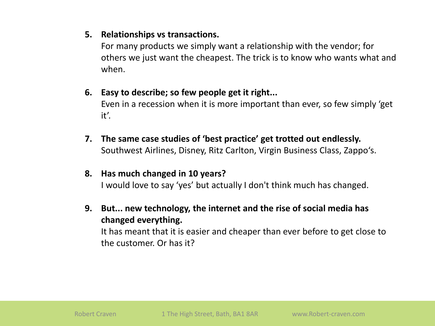#### **5. Relationships vs transactions.**

For many products we simply want a relationship with the vendor; for others we just want the cheapest. The trick is to know who wants what and when.

#### **6. Easy to describe; so few people get it right...**

Even in a recession when it is more important than ever, so few simply 'get it'.

**7. The same case studies of 'best practice' get trotted out endlessly.** Southwest Airlines, Disney, Ritz Carlton, Virgin Business Class, Zappo's.

#### **8. Has much changed in 10 years?** I would love to say 'yes' but actually I don't think much has changed.

**9. But... new technology, the internet and the rise of social media has changed everything.**

It has meant that it is easier and cheaper than ever before to get close to the customer. Or has it?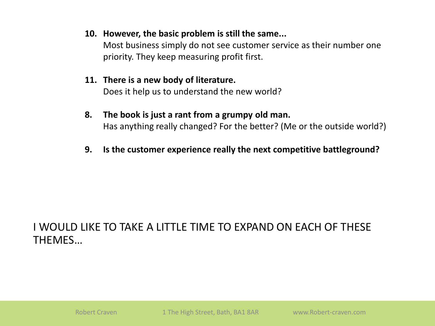#### **10. However, the basic problem is still the same...**

Most business simply do not see customer service as their number one priority. They keep measuring profit first.

# **11. There is a new body of literature.**

Does it help us to understand the new world?

#### **8. The book is just a rant from a grumpy old man.** Has anything really changed? For the better? (Me or the outside world?)

**9. Is the customer experience really the next competitive battleground?**

#### I WOULD LIKE TO TAKE A LITTLE TIME TO EXPAND ON EACH OF THESE THEMES…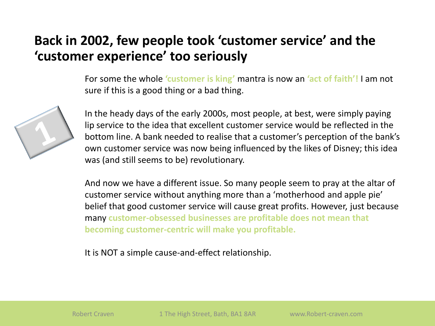# **Back in 2002, few people took 'customer service' and the 'customer experience' too seriously**

For some the whole **'customer is king'** mantra is now an **'act of faith'!** I am not sure if this is a good thing or a bad thing.



In the heady days of the early 2000s, most people, at best, were simply paying lip service to the idea that excellent customer service would be reflected in the bottom line. A bank needed to realise that a customer's perception of the bank's own customer service was now being influenced by the likes of Disney; this idea was (and still seems to be) revolutionary.

And now we have a different issue. So many people seem to pray at the altar of customer service without anything more than a 'motherhood and apple pie' belief that good customer service will cause great profits. However, just because many **customer-obsessed businesses are profitable does not mean that becoming customer-centric will make you profitable.** 

It is NOT a simple cause-and-effect relationship.

Robert Craven 1 The High Street, Bath, BA1 8AR www.Robert-craven.com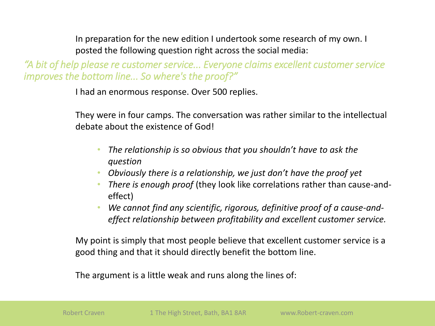In preparation for the new edition I undertook some research of my own. I posted the following question right across the social media:

*"A bit of help please re customer service... Everyone claims excellent customer service improves the bottom line... So where's the proof?"*

I had an enormous response. Over 500 replies.

They were in four camps. The conversation was rather similar to the intellectual debate about the existence of God!

- *The relationship is so obvious that you shouldn't have to ask the question*
- *Obviously there is a relationship, we just don't have the proof yet*
- *There is enough proof* (they look like correlations rather than cause-andeffect)
- *We cannot find any scientific, rigorous, definitive proof of a cause-andeffect relationship between profitability and excellent customer service.*

My point is simply that most people believe that excellent customer service is a good thing and that it should directly benefit the bottom line.

The argument is a little weak and runs along the lines of: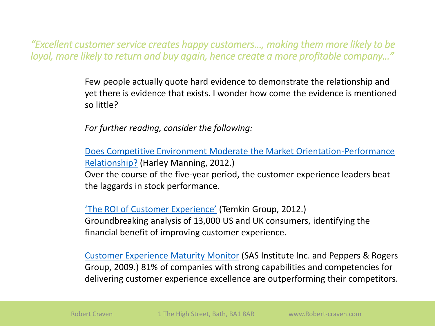*"Excellent customer service creates happy customers…, making them more likely to be loyal, more likely to return and buy again, hence create a more profitable company…"*

> Few people actually quote hard evidence to demonstrate the relationship and yet there is evidence that exists. I wonder how come the evidence is mentioned so little?

*For further reading, consider the following:*

[Does Competitive Environment Moderate the Market Orientation-Performance](http://blogs.forrester.com/harley_manning/12-09-14-when_it_comes_to_total_returns_customer_experience_leaders_spank_customer_experience_laggards) Relationship? (Harley Manning, 2012.) Over the course of the five-year period, the customer experience leaders beat the laggards in stock performance.

'[The ROI of Customer Experience'](http://www.temkingroup.com/research-reports/the-roi-of-customer-experience/) (Temkin Group, 2012.) Groundbreaking analysis of 13,000 US and UK consumers, identifying the financial benefit of improving customer experience.

[Customer Experience Maturity Monitor](http://www.sas.com/offices/europe/denmark/pdf/20090323customer_intelligence_103820_0209.pdf) (SAS Institute Inc. and Peppers & Rogers Group, 2009.) 81% of companies with strong capabilities and competencies for delivering customer experience excellence are outperforming their competitors.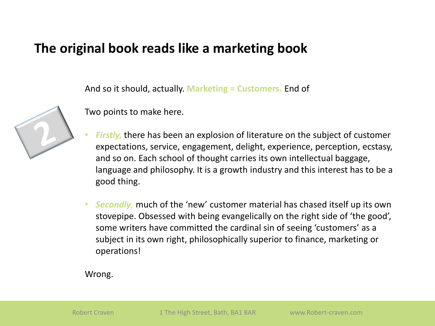### **The original book reads like a marketing book**

And so it should, actually. **Marketing = Customers.** End of



Two points to make here.

- Firstly, there has been an explosion of literature on the subject of customer expectations, service, engagement, delight, experience, perception, ecstasy, and so on. Each school of thought carries its own intellectual baggage, language and philosophy. It is a growth industry and this interest has to be a good thing.
- *Secondly,* much of the 'new' customer material has chased itself up its own stovepipe. Obsessed with being evangelically on the right side of 'the good', some writers have committed the cardinal sin of seeing 'customers' as a subject in its own right, philosophically superior to finance, marketing or operations!

Wrong.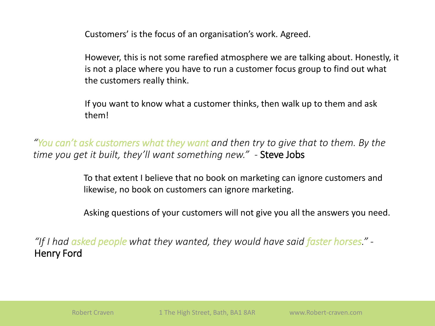Customers' is the focus of an organisation's work. Agreed.

However, this is not some rarefied atmosphere we are talking about. Honestly, it is not a place where you have to run a customer focus group to find out what the customers really think.

If you want to know what a customer thinks, then walk up to them and ask them!

*"You can't ask customers what they want and then try to give that to them. By the time you get it built, they'll want something new."* - Steve Jobs

> To that extent I believe that no book on marketing can ignore customers and likewise, no book on customers can ignore marketing.

Asking questions of your customers will not give you all the answers you need.

*"If I had asked people what they wanted, they would have said faster horses." -* Henry Ford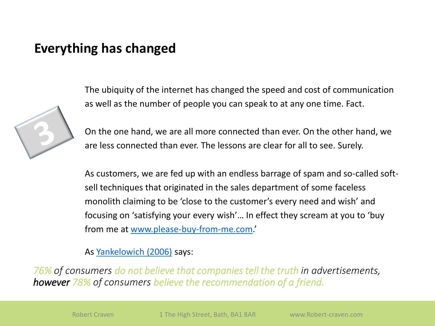### **Everything has changed**



The ubiquity of the internet has changed the speed and cost of communication as well as the number of people you can speak to at any one time. Fact.

On the one hand, we are all more connected than ever. On the other hand, we are less connected than ever. The lessons are clear for all to see. Surely.

As customers, we are fed up with an endless barrage of spam and so-called softsell techniques that originated in the sales department of some faceless monolith claiming to be 'close to the customer's every need and wish' and focusing on 'satisfying your every wish'… In effect they scream at you to 'buy from me at [www.please-buy-from-me.com](http://www.please-buy-from-me.com/).'

As [Yankelowich](http://www.slideshare.net/Futurelab/i-am-the-media-1451464) (2006) says:

*76% of consumers do not believe that companies tell the truth in advertisements, however 78% of consumers believe the recommendation of a friend.*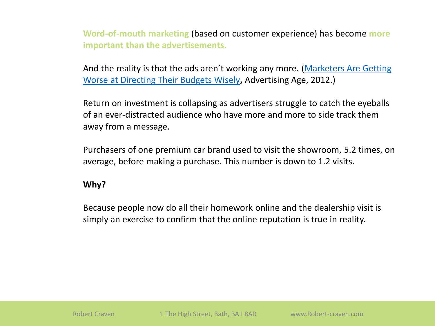**Word-of-mouth marketing** (based on customer experience) has become **more important than the advertisements.**

[And the reality is that the ads aren't working any more. \(](http://adage.com/article/news/marketers-worse-directing-budgets-wisely/235009/)Marketers Are Getting Worse at Directing Their Budgets Wisely**,** Advertising Age, 2012.)

Return on investment is collapsing as advertisers struggle to catch the eyeballs of an ever-distracted audience who have more and more to side track them away from a message.

Purchasers of one premium car brand used to visit the showroom, 5.2 times, on average, before making a purchase. This number is down to 1.2 visits.

#### **Why?**

Because people now do all their homework online and the dealership visit is simply an exercise to confirm that the online reputation is true in reality.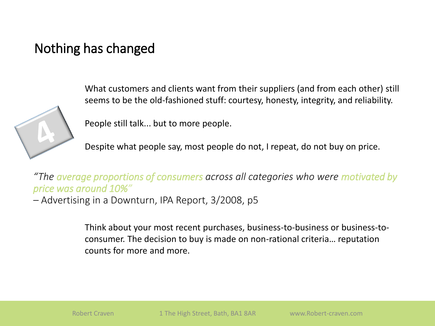# Nothing has changed



What customers and clients want from their suppliers (and from each other) still seems to be the old-fashioned stuff: courtesy, honesty, integrity, and reliability.

People still talk... but to more people.

Despite what people say, most people do not, I repeat, do not buy on price.

*"The average proportions of consumers across all categories who were motivated by price was around 10%"*

*–* Advertising in a Downturn, IPA Report, 3/2008, p5

Think about your most recent purchases, business-to-business or business-toconsumer. The decision to buy is made on non-rational criteria… reputation counts for more and more.

Robert Craven 1 The High Street, Bath, BA1 8AR www.Robert-craven.com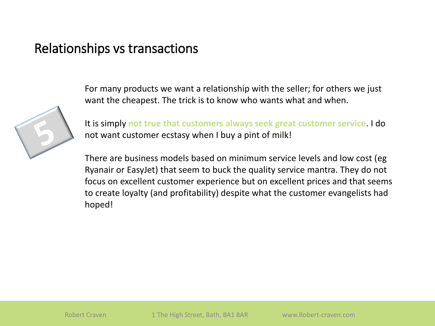### Relationships vs transactions



For many products we want a relationship with the seller; for others we just want the cheapest. The trick is to know who wants what and when.

It is simply **not true that customers always seek great customer service**. I do not want customer ecstasy when I buy a pint of milk!

There are business models based on minimum service levels and low cost (eg Ryanair or EasyJet) that seem to buck the quality service mantra. They do not focus on excellent customer experience but on excellent prices and that seems to create loyalty (and profitability) despite what the customer evangelists had hoped!

Robert Craven 1 The High Street, Bath, BA1 8AR www.Robert-craven.com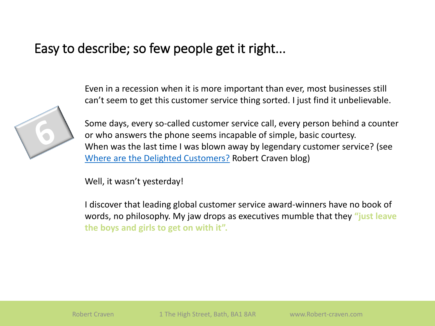### Easy to describe; so few people get it right...



Even in a recession when it is more important than ever, most businesses still can't seem to get this customer service thing sorted. I just find it unbelievable.

Some days, every so-called customer service call, every person behind a counter or who answers the phone seems incapable of simple, basic courtesy. When was the last time I was blown away by legendary customer service? (see [Where are the Delighted Customers?](http://robert-craven.blogspot.co.uk/2011/05/where-are-delighted-customers.html) Robert Craven blog)

Well, it wasn't yesterday!

I discover that leading global customer service award-winners have no book of words, no philosophy. My jaw drops as executives mumble that they **"just leave the boys and girls to get on with it".**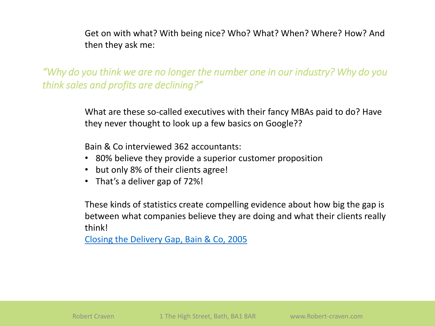Get on with what? With being nice? Who? What? When? Where? How? And then they ask me:

*"Why do you think we are no longer the number one in our industry? Why do you think sales and profits are declining?"*

> What are these so-called executives with their fancy MBAs paid to do? Have they never thought to look up a few basics on Google??

Bain & Co interviewed 362 accountants:

- 80% believe they provide a superior customer proposition
- but only 8% of their clients agree!
- That's a deliver gap of 72%!

These kinds of statistics create compelling evidence about how big the gap is between what companies believe they are doing and what their clients really think!

[Closing the Delivery Gap, Bain & Co, 2005](http://www.bain.co.uk/bainweb/pdfs/cms/hotTopics/closingdeliverygap.pdf)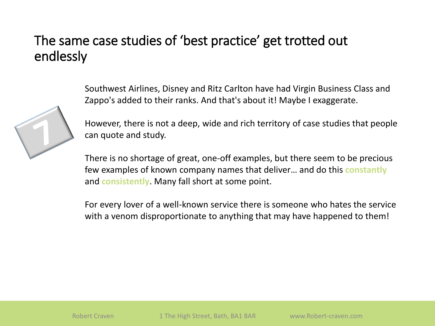# The same case studies of 'best practice' get trotted out endlessly



Southwest Airlines, Disney and Ritz Carlton have had Virgin Business Class and Zappo's added to their ranks. And that's about it! Maybe I exaggerate.

However, there is not a deep, wide and rich territory of case studies that people can quote and study.

There is no shortage of great, one-off examples, but there seem to be precious few examples of known company names that deliver… and do this **constantly** and **consistently**. Many fall short at some point.

For every lover of a well-known service there is someone who hates the service with a venom disproportionate to anything that may have happened to them!

Robert Craven 1 The High Street, Bath, BA1 8AR www.Robert-craven.com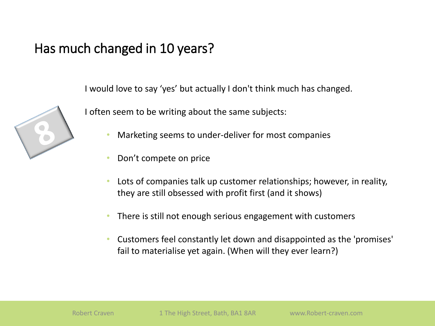# Has much changed in 10 years?

I would love to say 'yes' but actually I don't think much has changed.



I often seem to be writing about the same subjects:

- Marketing seems to under-deliver for most companies
- Don't compete on price
- Lots of companies talk up customer relationships; however, in reality, they are still obsessed with profit first (and it shows)
- There is still not enough serious engagement with customers
- Customers feel constantly let down and disappointed as the 'promises' fail to materialise yet again. (When will they ever learn?)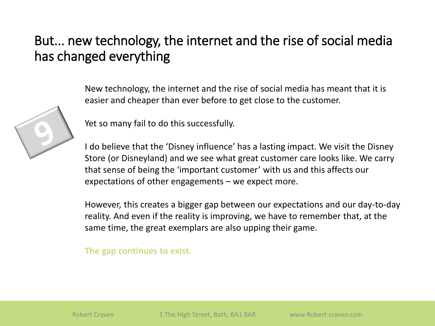# But... new technology, the internet and the rise of social media has changed everything



New technology, the internet and the rise of social media has meant that it is easier and cheaper than ever before to get close to the customer.

Yet so many fail to do this successfully.

I do believe that the 'Disney influence' has a lasting impact. We visit the Disney Store (or Disneyland) and we see what great customer care looks like. We carry that sense of being the 'important customer' with us and this affects our expectations of other engagements – we expect more.

However, this creates a bigger gap between our expectations and our day-to-day reality. And even if the reality is improving, we have to remember that, at the same time, the great exemplars are also upping their game.

**The gap continues to exist.**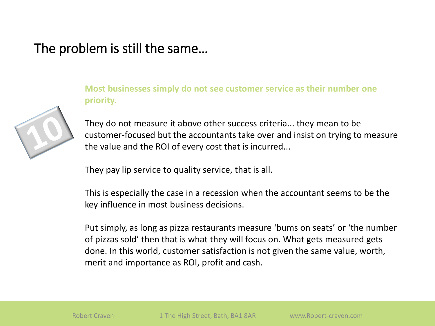### The problem is still the same…



**Most businesses simply do not see customer service as their number one priority.** 

They do not measure it above other success criteria... they mean to be customer-focused but the accountants take over and insist on trying to measure the value and the ROI of every cost that is incurred...

They pay lip service to quality service, that is all.

This is especially the case in a recession when the accountant seems to be the key influence in most business decisions.

Put simply, as long as pizza restaurants measure 'bums on seats' or 'the number of pizzas sold' then that is what they will focus on. What gets measured gets done. In this world, customer satisfaction is not given the same value, worth, merit and importance as ROI, profit and cash.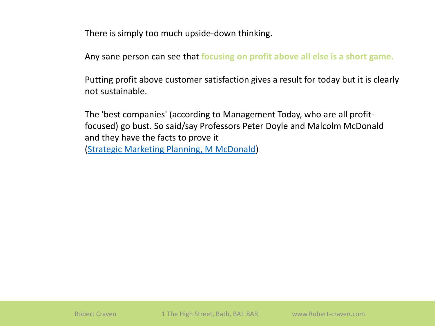There is simply too much upside-down thinking.

Any sane person can see that **focusing on profit above all else is a short game.** 

Putting profit above customer satisfaction gives a result for today but it is clearly not sustainable.

The 'best companies' (according to Management Today, who are all profitfocused) go bust. So said/say Professors Peter Doyle and Malcolm McDonald and they have the facts to prove it [\(Strategic Marketing Planning, M McDonald](http://www.slideshare.net/lalitkale/how-to-create-strategic-marketing-plan))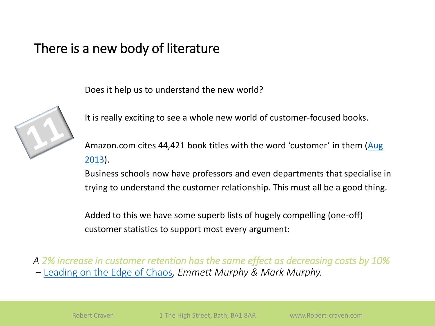## There is a new body of literature

Does it help us to understand the new world?



It is really exciting to see a whole new world of customer-focused books.

[Amazon.com cites 44,421 book titles with the word 'customer' in them \(](http://www.amazon.com/s/ref=nb_sb_noss_2?url=search-alias=stripbooks&field-keywords=customer)Aug 2013).

Business schools now have professors and even departments that specialise in trying to understand the customer relationship. This must all be a good thing.

Added to this we have some superb lists of hugely compelling (one-off) customer statistics to support most every argument:

*A 2% increase in customer retention has the same effect as decreasing costs by 10% –* [Leading on the Edge of Chaos](http://www.amazon.com/dp/0735203121)*, Emmett Murphy & Mark Murphy.*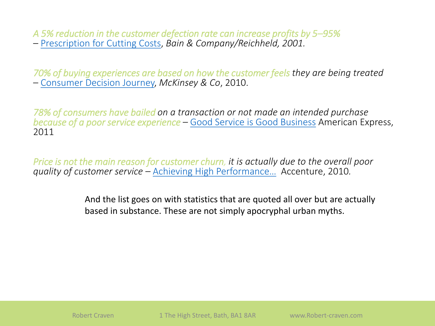*A 5% reduction in the customer defection rate can increase profits by 5–95%* – [Prescription for Cutting Costs](http://www.bain.com/Images/BB_Prescription_cutting_costs.pdf), *Bain & Company/Reichheld, 2001.*

*70% of buying experiences are based on how the customer feels they are being treated*  – [Consumer Decision Journey,](http://www.mckinsey.com/insights/marketing_sales/the_consumer_decision_journey) *McKinsey & Co*, 2010.

*78% of consumers have bailed on a transaction or not made an intended purchase because of a poor service experience –* [Good Service is Good Business](http://about.americanexpress.com/news/pr/2011/csbar.aspx) American Express, 2011

*Price is not the main reason for customer churn, it is actually due to the overall poor quality of customer service –* [Achieving High Performance…](http://www.accenture.com/SiteCollectionDocuments/PDF/Accenture_Utilities_CustomerAcquisitionRetention.pdf) Accenture, 2010*.*

> And the list goes on with statistics that are quoted all over but are actually based in substance. These are not simply apocryphal urban myths.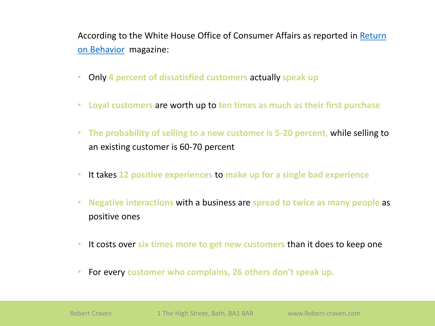[According to the White House Office of Consumer Affairs as reported in](http://returnonbehavior.com/2010/10/50-facts-about-customer-experience-for-2011/) Return on Behavior magazine:

- Only **4 percent of dissatisfied customers** actually **speak up**
- **Loyal customers** are worth up to **ten times as much as their first purchase**
- **The probability of selling to a new customer is 5-20 percent**, while selling to an existing customer is 60-70 percent
- It takes **12 positive experiences** to **make up for a single bad experience**
- **Negative interactions** with a business are **spread to twice as many people** as positive ones
- It costs over **six times more to get new customers** than it does to keep one
- For every **customer who complains, 26 others don't speak up.**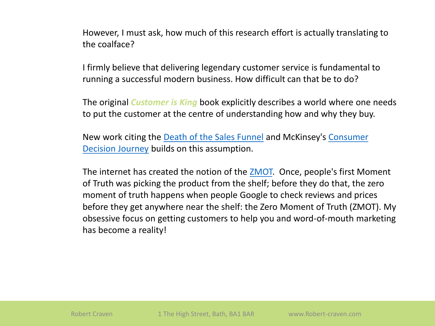However, I must ask, how much of this research effort is actually translating to the coalface?

I firmly believe that delivering legendary customer service is fundamental to running a successful modern business. How difficult can that be to do?

The original *Customer is King* book explicitly describes a world where one needs to put the customer at the centre of understanding how and why they buy.

[New work citing the Death of the Sales Funnel](http://www.mckinsey.com/insights/marketing_sales/the_consumer_decision_journey) and McKinsey's Consumer Decision Journey builds on this assumption.

The internet has created the notion of the **[ZMOT.](http://www.zeromomentoftruth.com/)** Once, people's first Moment of Truth was picking the product from the shelf; before they do that, the zero moment of truth happens when people Google to check reviews and prices before they get anywhere near the shelf: the Zero Moment of Truth (ZMOT). My obsessive focus on getting customers to help you and word-of-mouth marketing has become a reality!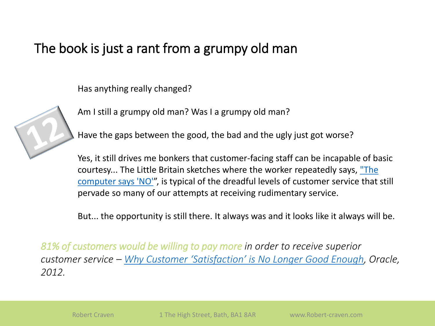# The book is just a rant from a grumpy old man

Has anything really changed?



Am I still a grumpy old man? Was I a grumpy old man?

Have the gaps between the good, the bad and the ugly just got worse?

Yes, it still drives me bonkers that customer-facing staff can be incapable of basic [courtesy... The Little Britain sketches where the worker repeatedly says,](http://youtu.be/0n_Ty_72Qds) "The computer says 'NO'", is typical of the dreadful levels of customer service that still pervade so many of our attempts at receiving rudimentary service.

But... the opportunity is still there. It always was and it looks like it always will be.

*81% of customers would be willing to pay more in order to receive superior customer service – [Why Customer 'Satisfaction' is No Longer Good Enough](http://www.oracle.com/us/dm/ora-rightnow-whitepaper-12-10719-1882784.pdf), Oracle, 2012.*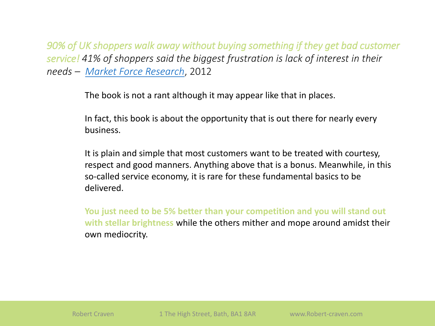*90% of UK shoppers walk away without buying something if they get bad customer service! 41% of shoppers said the biggest frustration is lack of interest in their needs – [Market Force Research](http://www.talkingretail.com/news/industry-news/poor-customer-service-%E2%80%98driving-shoppers-out-of-the-high-street%E2%80%99-says-analyst)*, 2012

The book is not a rant although it may appear like that in places.

In fact, this book is about the opportunity that is out there for nearly every business.

It is plain and simple that most customers want to be treated with courtesy, respect and good manners. Anything above that is a bonus. Meanwhile, in this so-called service economy, it is rare for these fundamental basics to be delivered.

**You just need to be 5% better than your competition and you will stand out with stellar brightness** while the others mither and mope around amidst their own mediocrity.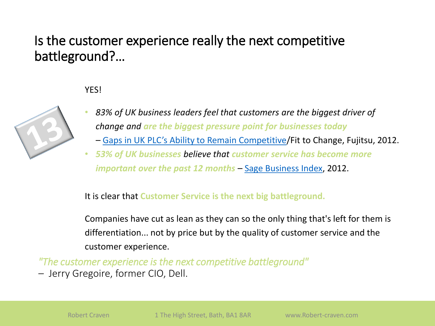# Is the customer experience really the next competitive battleground?…

#### **YFS!**



- *83% of UK business leaders feel that customers are the biggest driver of change and are the biggest pressure point for businesses today*
	- *–* [Gaps in UK PLC's Ability to Remain Competitive](http://www.fujitsu.com/uk/news/pr/fs_20120521.html)/Fit to Change, Fujitsu, 2012.
- *53% of UK businesses believe that customer service has become more important over the past 12 months* – [Sage Business Index,](http://www.sage.co.uk/blog/index.php/2012/03/customer-service-critical-to-success/) 2012.

It is clear that **Customer Service is the next big battleground.**

Companies have cut as lean as they can so the only thing that's left for them is differentiation... not by price but by the quality of customer service and the customer experience.

*"The customer experience is the next competitive battleground"* 

*–* Jerry Gregoire, former CIO, Dell.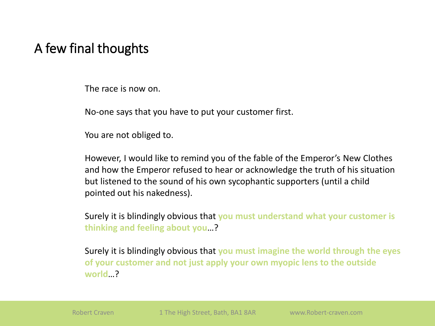# A few final thoughts

The race is now on.

No-one says that you have to put your customer first.

You are not obliged to.

However, I would like to remind you of the fable of the Emperor's New Clothes and how the Emperor refused to hear or acknowledge the truth of his situation but listened to the sound of his own sycophantic supporters (until a child pointed out his nakedness).

Surely it is blindingly obvious that **you must understand what your customer is thinking and feeling about you**…?

Surely it is blindingly obvious that **you must imagine the world through the eyes of your customer and not just apply your own myopic lens to the outside world**…?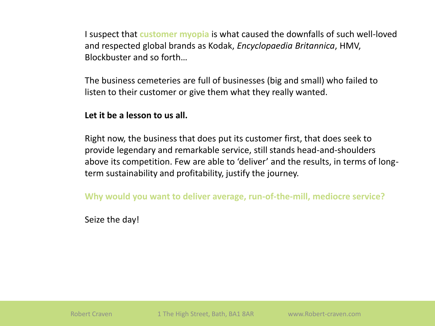I suspect that **customer myopia** is what caused the downfalls of such well-loved and respected global brands as Kodak, *Encyclopaedia Britannica*, HMV, Blockbuster and so forth…

The business cemeteries are full of businesses (big and small) who failed to listen to their customer or give them what they really wanted.

**Let it be a lesson to us all.**

Right now, the business that does put its customer first, that does seek to provide legendary and remarkable service, still stands head-and-shoulders above its competition. Few are able to 'deliver' and the results, in terms of longterm sustainability and profitability, justify the journey.

**Why would you want to deliver average, run-of-the-mill, mediocre service?**

Seize the day!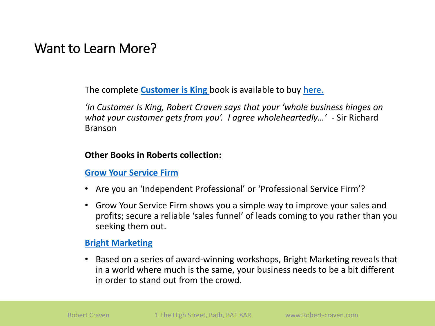### Want to Learn More?

The complete **[Customer is King](http://www.robert-craven.com/books)** book is available to buy [here.](http://www.robert-craven.com/books)

*'In Customer Is King, Robert Craven says that your 'whole business hinges on what your customer gets from you'. I agree wholeheartedly…'* - Sir Richard Branson

#### **Other Books in Roberts collection:**

#### **[Grow Your Service Firm](http://www.robert-craven.com/books)**

- Are you an 'Independent Professional' or 'Professional Service Firm'?
- Grow Your Service Firm shows you a simple way to improve your sales and profits; secure a reliable 'sales funnel' of leads coming to you rather than you seeking them out.

#### **[Bright Marketing](http://www.robert-craven.com/books)**

• Based on a series of award-winning workshops, Bright Marketing reveals that in a world where much is the same, your business needs to be a bit different in order to stand out from the crowd.